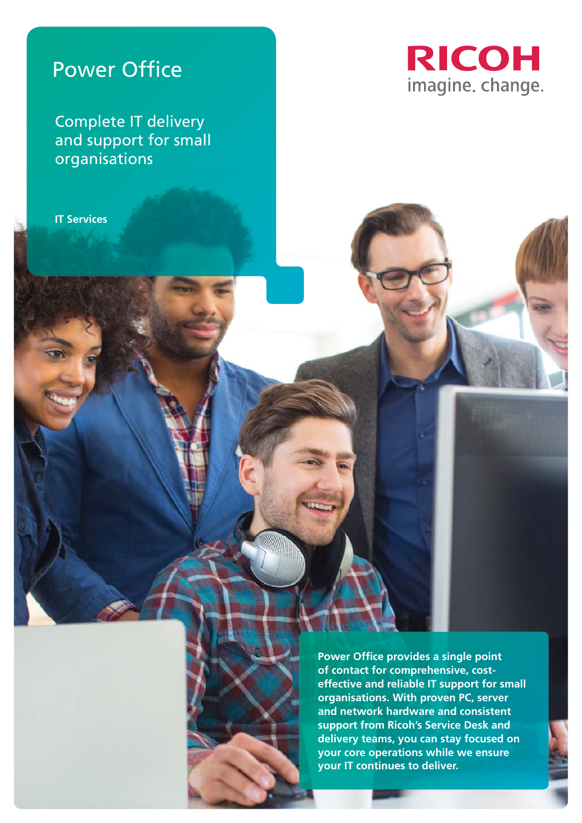# Power Office

Complete IT delivery and support for small organisations

**IT Services**



**Power Office provides a single point of contact for comprehensive, costeffective and reliable IT support for small organisations. With proven PC, server and network hardware and consistent support from Ricoh's Service Desk and delivery teams, you can stay focused on your core operations while we ensure your IT continues to deliver.**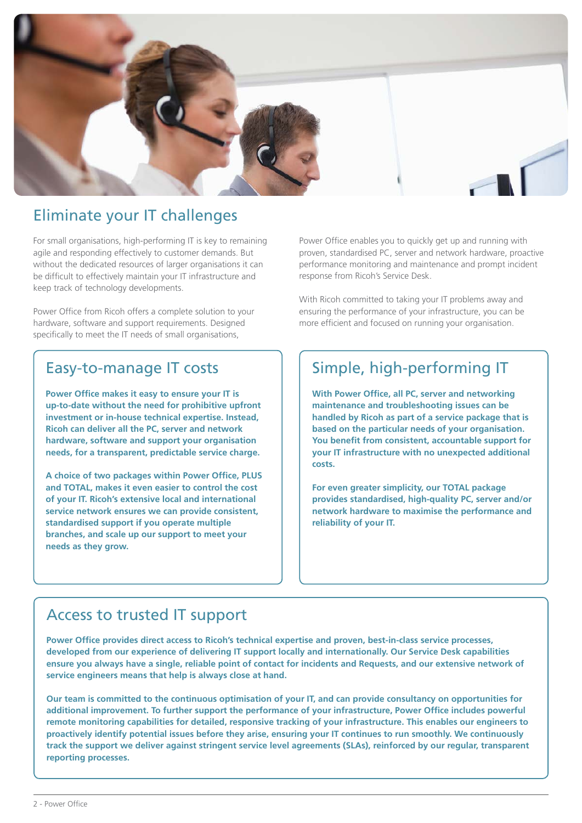

### Eliminate your IT challenges

For small organisations, high-performing IT is key to remaining agile and responding effectively to customer demands. But without the dedicated resources of larger organisations it can be difficult to effectively maintain your IT infrastructure and keep track of technology developments.

Power Office from Ricoh offers a complete solution to your hardware, software and support requirements. Designed specifically to meet the IT needs of small organisations,

#### Easy-to-manage IT costs

**Power Office makes it easy to ensure your IT is up-to-date without the need for prohibitive upfront investment or in-house technical expertise. Instead, Ricoh can deliver all the PC, server and network hardware, software and support your organisation needs, for a transparent, predictable service charge.**

**A choice of two packages within Power Office, PLUS and TOTAL, makes it even easier to control the cost of your IT. Ricoh's extensive local and international service network ensures we can provide consistent, standardised support if you operate multiple branches, and scale up our support to meet your needs as they grow.**

Power Office enables you to quickly get up and running with proven, standardised PC, server and network hardware, proactive performance monitoring and maintenance and prompt incident response from Ricoh's Service Desk.

With Ricoh committed to taking your IT problems away and ensuring the performance of your infrastructure, you can be more efficient and focused on running your organisation.

# Simple, high-performing IT

**With Power Office, all PC, server and networking maintenance and troubleshooting issues can be handled by Ricoh as part of a service package that is based on the particular needs of your organisation. You benefit from consistent, accountable support for your IT infrastructure with no unexpected additional costs.**

**For even greater simplicity, our TOTAL package provides standardised, high-quality PC, server and/or network hardware to maximise the performance and reliability of your IT.** 

#### Access to trusted IT support

**Power Office provides direct access to Ricoh's technical expertise and proven, best-in-class service processes, developed from our experience of delivering IT support locally and internationally. Our Service Desk capabilities ensure you always have a single, reliable point of contact for incidents and Requests, and our extensive network of service engineers means that help is always close at hand.**

**Our team is committed to the continuous optimisation of your IT, and can provide consultancy on opportunities for additional improvement. To further support the performance of your infrastructure, Power Office includes powerful remote monitoring capabilities for detailed, responsive tracking of your infrastructure. This enables our engineers to proactively identify potential issues before they arise, ensuring your IT continues to run smoothly. We continuously track the support we deliver against stringent service level agreements (SLAs), reinforced by our regular, transparent reporting processes.**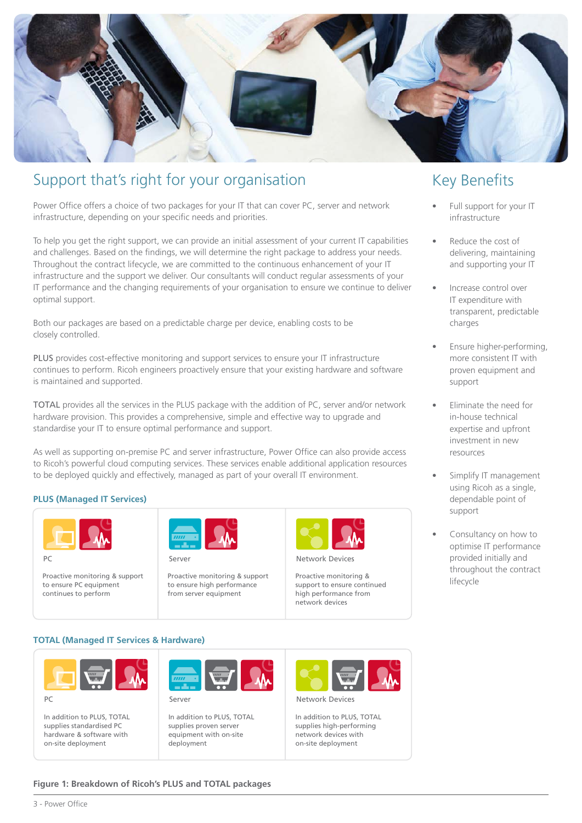

### Support that's right for your organisation

Power Office offers a choice of two packages for your IT that can cover PC, server and network infrastructure, depending on your specific needs and priorities.

To help you get the right support, we can provide an initial assessment of your current IT capabilities and challenges. Based on the findings, we will determine the right package to address your needs. Throughout the contract lifecycle, we are committed to the continuous enhancement of your IT infrastructure and the support we deliver. Our consultants will conduct regular assessments of your IT performance and the changing requirements of your organisation to ensure we continue to deliver optimal support.

Both our packages are based on a predictable charge per device, enabling costs to be closely controlled.

PLUS provides cost-effective monitoring and support services to ensure your IT infrastructure continues to perform. Ricoh engineers proactively ensure that your existing hardware and software is maintained and supported.

TOTAL provides all the services in the PLUS package with the addition of PC, server and/or network hardware provision. This provides a comprehensive, simple and effective way to upgrade and standardise your IT to ensure optimal performance and support.

As well as supporting on-premise PC and server infrastructure, Power Office can also provide access to Ricoh's powerful cloud computing services. These services enable additional application resources to be deployed quickly and effectively, managed as part of your overall IT environment.

#### **PLUS (Managed IT Services)**



Proactive monitoring & support to ensure PC equipment continues to perform



Server PC Server Network Devices and Devices of the Server

Proactive monitoring & support to ensure high performance from server equipment



Network Device

Proactive monitoring & support to ensure continued high performance from network devices

### Key Benefits

- Full support for your IT infrastructure
- Reduce the cost of delivering, maintaining and supporting your IT
- Increase control over IT expenditure with transparent, predictable charges
- Ensure higher-performing, more consistent IT with proven equipment and support
- Eliminate the need for in-house technical expertise and upfront investment in new resources
- Simplify IT management using Ricoh as a single, dependable point of support
- Consultancy on how to optimise IT performance provided initially and throughout the contract lifecycle

#### **TOTAL (Managed IT Services & Hardware)**



In addition to PLUS, TOTAL supplies standardised PC hardware & software with on-site deployment



In addition to PLUS, TOTAL supplies proven server equipment with on-site deployment



In addition to PLUS, TOTAL supplies high-performing network devices with on-site deployment

#### **Figure 1: Breakdown of Ricoh's PLUS and TOTAL packages**